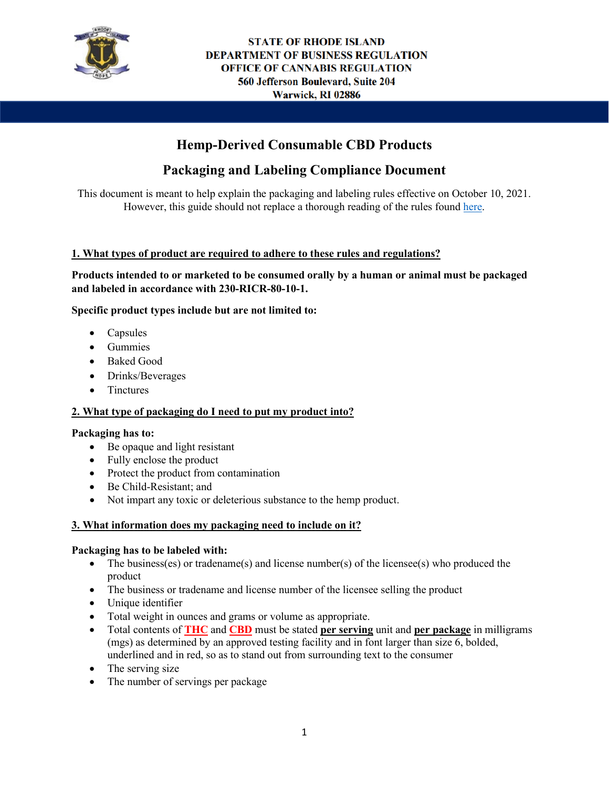

# **Hemp-Derived Consumable CBD Products**

# **Packaging and Labeling Compliance Document**

This document is meant to help explain the packaging and labeling rules effective on October 10, 2021. However, this guide should not replace a thorough reading of the rules found [here.](https://rules.sos.ri.gov/regulations/part/230-80-10-1)

## **1. What types of product are required to adhere to these rules and regulations?**

**Products intended to or marketed to be consumed orally by a human or animal must be packaged and labeled in accordance with 230-RICR-80-10-1.** 

### **Specific product types include but are not limited to:**

- Capsules
- Gummies
- Baked Good
- Drinks/Beverages
- Tinctures

#### **2. What type of packaging do I need to put my product into?**

#### **Packaging has to:**

- Be opaque and light resistant
- Fully enclose the product
- Protect the product from contamination
- Be Child-Resistant; and
- Not impart any toxic or deleterious substance to the hemp product.

#### **3. What information does my packaging need to include on it?**

#### **Packaging has to be labeled with:**

- The business(es) or tradename(s) and license number(s) of the licensee(s) who produced the product
- The business or tradename and license number of the licensee selling the product
- Unique identifier
- Total weight in ounces and grams or volume as appropriate.
- Total contents of **THC** and **CBD** must be stated **per serving** unit and **per package** in milligrams (mgs) as determined by an approved testing facility and in font larger than size 6, bolded, underlined and in red, so as to stand out from surrounding text to the consumer
- The serving size
- The number of servings per package